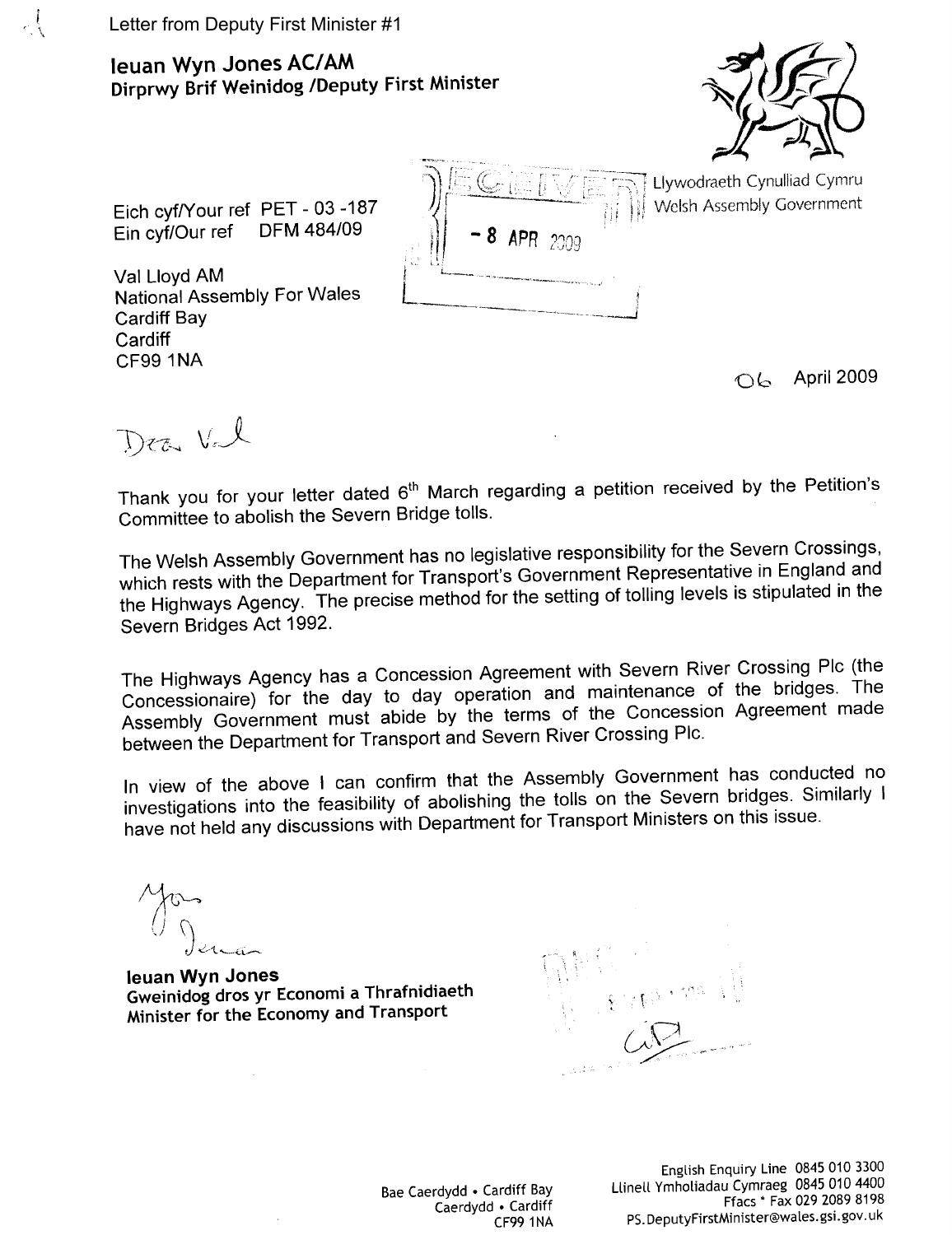## Ieuan Wyn Jones AC/AM Dirprwy Brif Weinidog /Deputy First Minister



Llywodraeth Cynulliad Cymru

Welsh Assembly Government

Eich cyf/Your ref PET - 03 -187 Ein cyf/Our ref **DFM 484/09** 

Val Lloyd AM **National Assembly For Wales Cardiff Bay** Cardiff **CF99 1NA** 

April 2009 ○ん─

Dea Vel

Thank you for your letter dated 6<sup>th</sup> March regarding a petition received by the Petition's Committee to abolish the Severn Bridge tolls.

The Welsh Assembly Government has no legislative responsibility for the Severn Crossings, which rests with the Department for Transport's Government Representative in England and the Highways Agency. The precise method for the setting of tolling levels is stipulated in the Severn Bridges Act 1992.

The Highways Agency has a Concession Agreement with Severn River Crossing Plc (the Concessionaire) for the day to day operation and maintenance of the bridges. The Assembly Government must abide by the terms of the Concession Agreement made between the Department for Transport and Severn River Crossing Plc.

In view of the above I can confirm that the Assembly Government has conducted no investigations into the feasibility of abolishing the tolls on the Severn bridges. Similarly I have not held any discussions with Department for Transport Ministers on this issue.

leuan Wyn Jones Gweinidog dros yr Economi a Thrafnidiaeth Minister for the Economy and Transport

Bae Caerdydd • Cardiff Bay Caerdydd . Cardiff **CF99 1NA**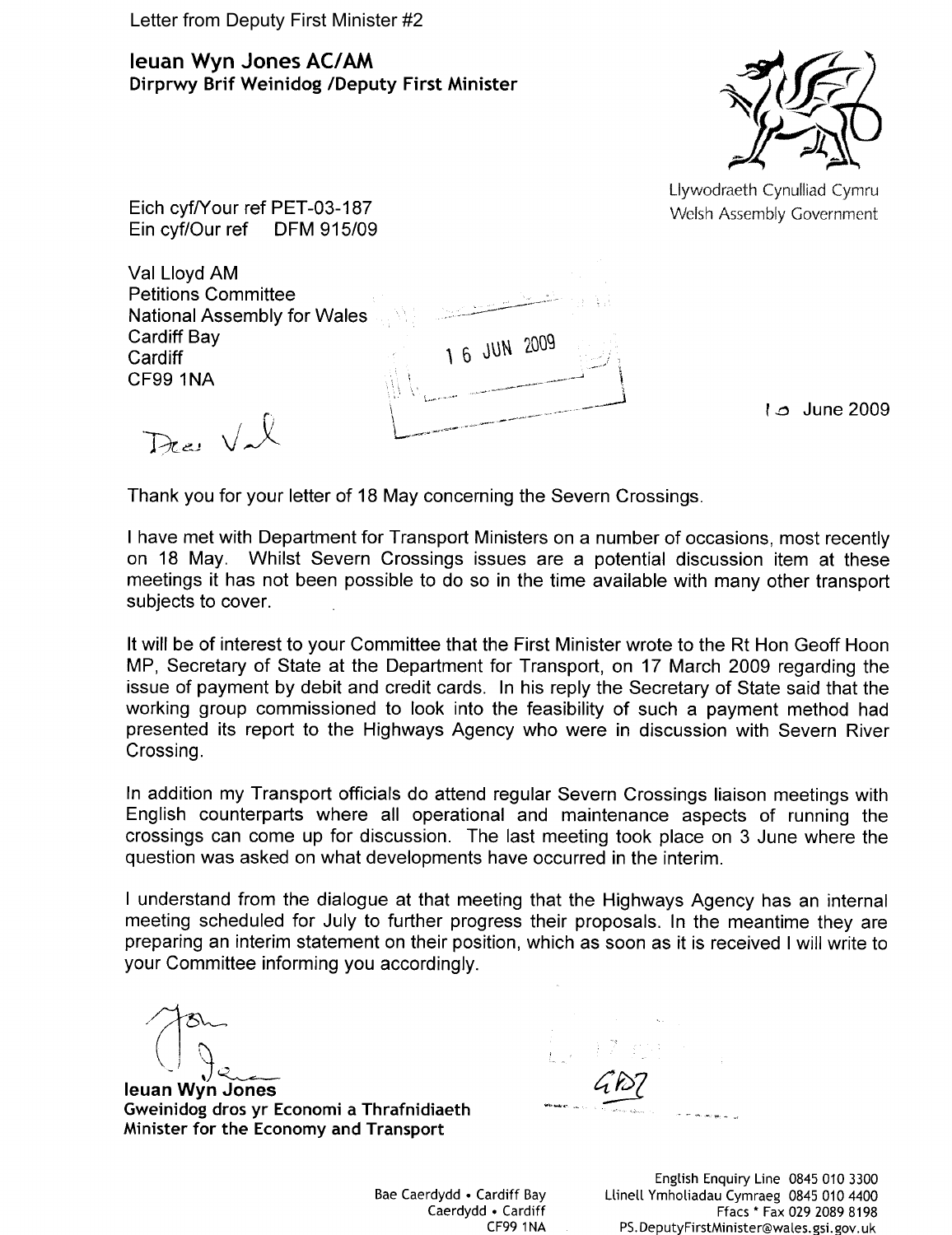Letter from Deputy First Minister #2

**Ieuan Wyn Jones AC/AM** Dirprwy Brif Weinidog /Deputy First Minister



Llywodraeth Cynulliad Cymru Welsh Assembly Government

Eich cyf/Your ref PET-03-187 Ein cyf/Our ref **DFM 915/09** 

Val Lloyd AM **Petitions Committee National Assembly for Wales Cardiff Bay** Cardiff **CF99 1NA** 

Dec Val

1 o June 2009

Thank you for your letter of 18 May concerning the Severn Crossings.

I have met with Department for Transport Ministers on a number of occasions, most recently on 18 May. Whilst Severn Crossings issues are a potential discussion item at these meetings it has not been possible to do so in the time available with many other transport subjects to cover.

1 6 JUN 2009

It will be of interest to your Committee that the First Minister wrote to the Rt Hon Geoff Hoon MP, Secretary of State at the Department for Transport, on 17 March 2009 regarding the issue of payment by debit and credit cards. In his reply the Secretary of State said that the working group commissioned to look into the feasibility of such a payment method had presented its report to the Highways Agency who were in discussion with Severn River Crossing.

In addition my Transport officials do attend regular Severn Crossings liaison meetings with English counterparts where all operational and maintenance aspects of running the crossings can come up for discussion. The last meeting took place on 3 June where the question was asked on what developments have occurred in the interim.

I understand from the dialogue at that meeting that the Highways Agency has an internal meeting scheduled for July to further progress their proposals. In the meantime they are preparing an interim statement on their position, which as soon as it is received I will write to your Committee informing you accordingly.

leuan Wyn Jones Gweinidog dros yr Economi a Thrafnidiaeth Minister for the Economy and Transport

Bae Caerdydd • Cardiff Bay Caerdydd • Cardiff **CF99 1NA**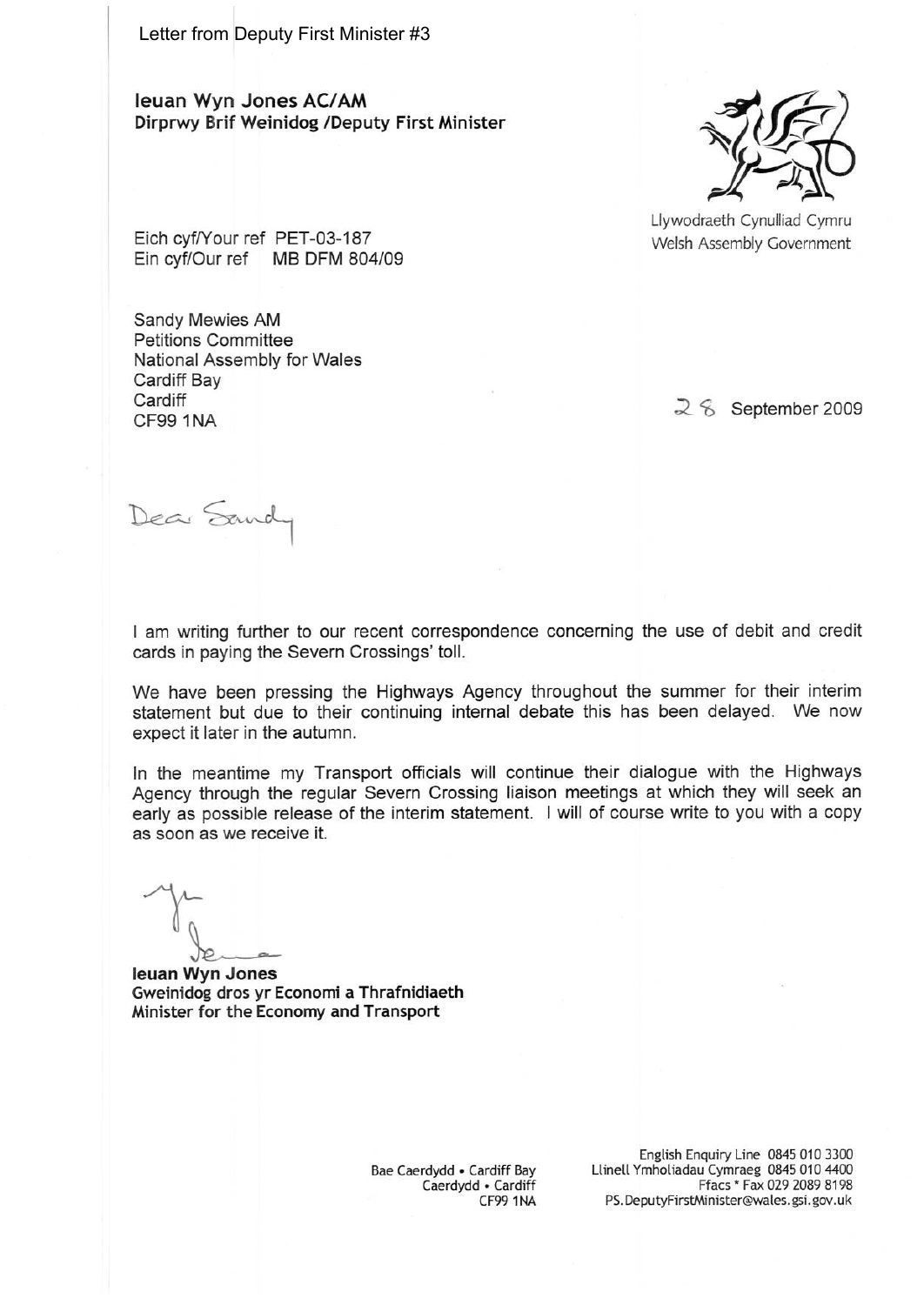Letter from Deputy First Minister #3

leuan Wyn Jones AC/AM Dirprwy Brif Weinidog /Deputy First Minister



Llywodraeth Cynulliad Cymru Welsh Assembly Government

Eich cyf/Your ref PET-03-187 Ein cyf/Our ref MB DFM 804/09

Sandy Mewies AM **Petitions Committee** National Assembly for Wales Cardiff Bay Cardiff **CF99 1NA** 

 $2\,$  September 2009

Dear Sandy

I am writing further to our recent correspondence concerning the use of debit and credit cards in paying the Severn Crossings' toll.

We have been pressing the Highways Agency throughout the summer for their interim statement but due to their continuing internal debate this has been delayed. We now expect it later in the autumn.

In the meantime my Transport officials will continue their dialogue with the Highways Agency through the regular Severn Crossing liaison meetings at which they will seek an early as possible release of the interim statement. I will of course write to you with a copy as soon as we receive it.

leuan Wyn Jones Gweinidog dros yr Economi a Thrafnidiaeth Minister for the Economy and Transport

Bae Caerdydd • Cardiff Bay Caerdydd . Cardiff CF99 1NA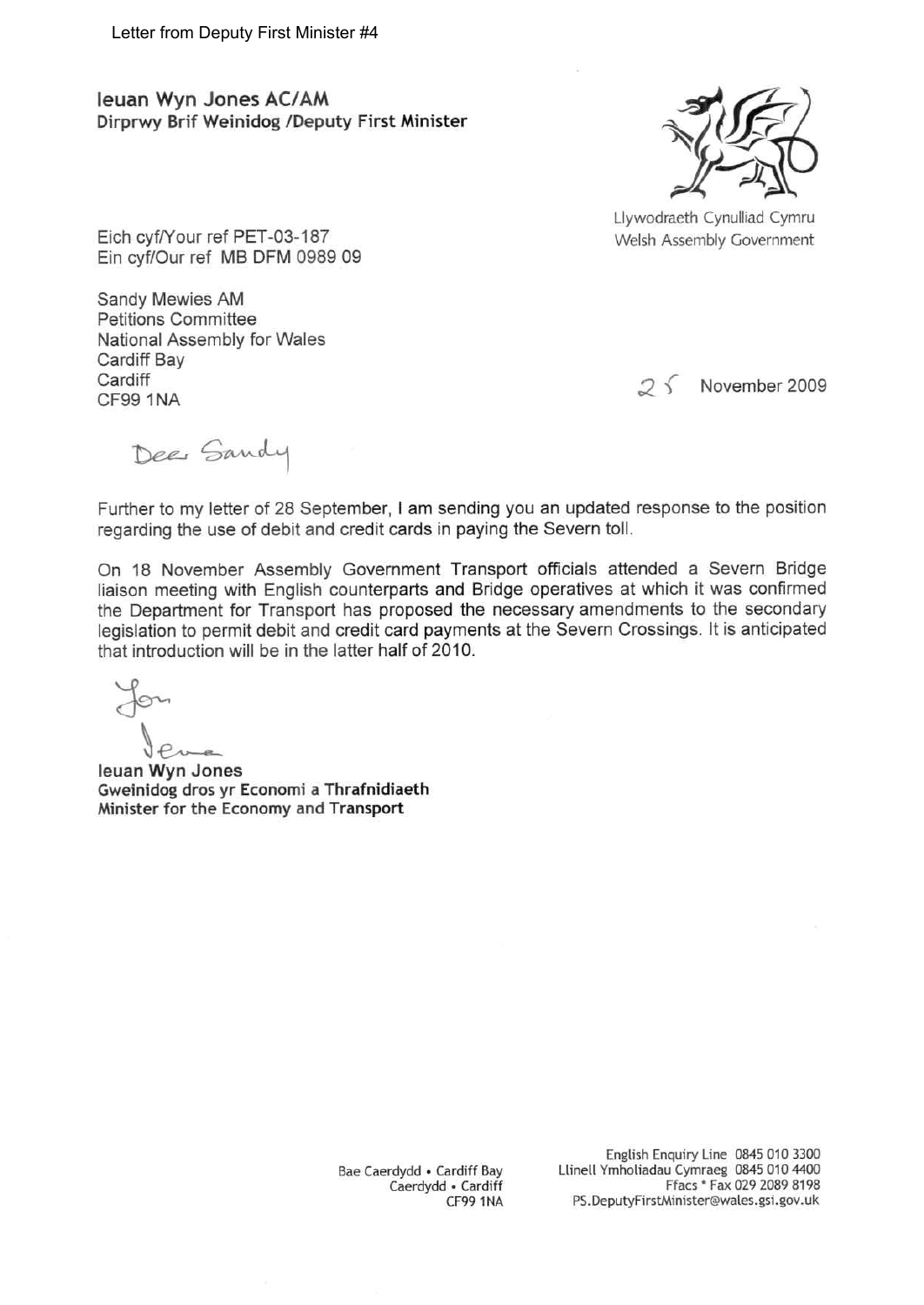Ieuan Wyn Jones AC/AM Dirprwy Brif Weinidog /Deputy First Minister



Llywodraeth Cynulliad Cymru Welsh Assembly Government

Eich cyf/Your ref PET-03-187 Ein cyf/Our ref MB DFM 0989 09

Sandy Mewies AM Petitions Committee National Assembly for Wales Cardiff Bay Cardiff CF99 1NA

 $25$ November 2009

Dee Sandy

Further to my letter of 28 September, I am sending you an updated response to the position regarding the use of debit and credit cards in paying the Severn toll.

On 18 November Assembly Government Transport officials attended a Severn Bridge liaison meeting with English counterparts and Bridge operatives at which it was confirmed the Department for Transport has proposed the necessary amendments to the secondary legislation to permit debit and credit card payments at the Severn Crossings. It is anticipated that introduction will be in the latter half of 2010.

leuan Wyn Jones Gweinidog dros yr Economi a Thrafnidiaeth Minister for the Economy and Transport

> Bae Caerdydd • Cardiff Bay Caerdydd • Cardiff CF99 1NA